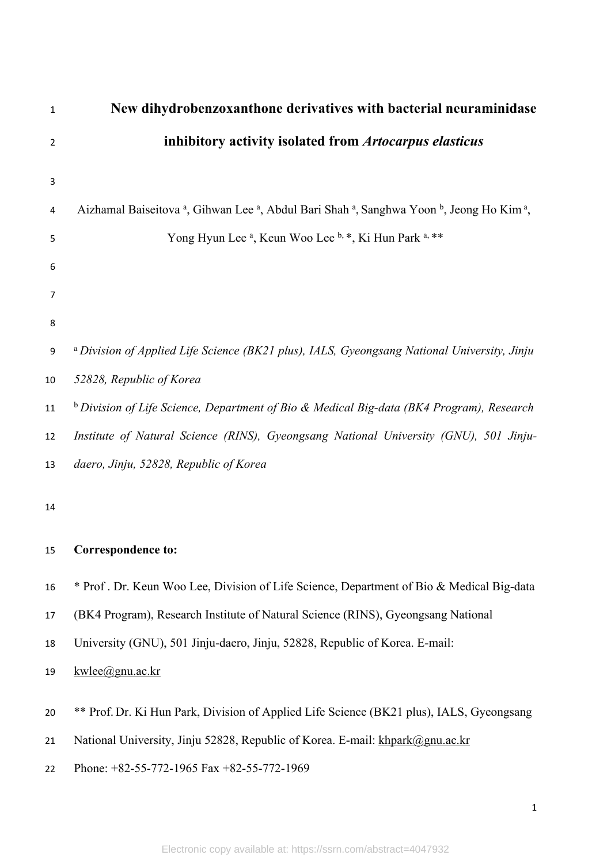| $\mathbf{1}$   | New dihydrobenzoxanthone derivatives with bacterial neuraminidase                                      |
|----------------|--------------------------------------------------------------------------------------------------------|
| $\overline{2}$ | inhibitory activity isolated from Artocarpus elasticus                                                 |
| 3              |                                                                                                        |
| 4              | Aizhamal Baiseitova a, Gihwan Lee a, Abdul Bari Shah a, Sanghwa Yoon b, Jeong Ho Kim a,                |
| 5              | Yong Hyun Lee <sup>a</sup> , Keun Woo Lee <sup>b, *</sup> , Ki Hun Park <sup>a, **</sup>               |
| 6              |                                                                                                        |
| 7              |                                                                                                        |
| 8              |                                                                                                        |
| 9              | <sup>a</sup> Division of Applied Life Science (BK21 plus), IALS, Gyeongsang National University, Jinju |
| 10             | 52828, Republic of Korea                                                                               |
| 11             | <sup>b</sup> Division of Life Science, Department of Bio & Medical Big-data (BK4 Program), Research    |
| 12             | Institute of Natural Science (RINS), Gyeongsang National University (GNU), 501 Jinju-                  |
| 13             | daero, Jinju, 52828, Republic of Korea                                                                 |
| 14             |                                                                                                        |
|                |                                                                                                        |
| 15             | <b>Correspondence to:</b>                                                                              |
| 16             | * Prof. Dr. Keun Woo Lee, Division of Life Science, Department of Bio & Medical Big-data               |
| 17             | (BK4 Program), Research Institute of Natural Science (RINS), Gyeongsang National                       |
| 18             | University (GNU), 501 Jinju-daero, Jinju, 52828, Republic of Korea. E-mail:                            |
| 19             | kwlee@gnu.ac.kr                                                                                        |
|                | ** Prof. Dr. Ki Hun Park, Division of Applied Life Science (BK21 plus), IALS, Gyeongsang               |
| 20             |                                                                                                        |
| 21             | National University, Jinju 52828, Republic of Korea. E-mail: khpark@gnu.ac.kr                          |
| 22             | Phone: +82-55-772-1965 Fax +82-55-772-1969                                                             |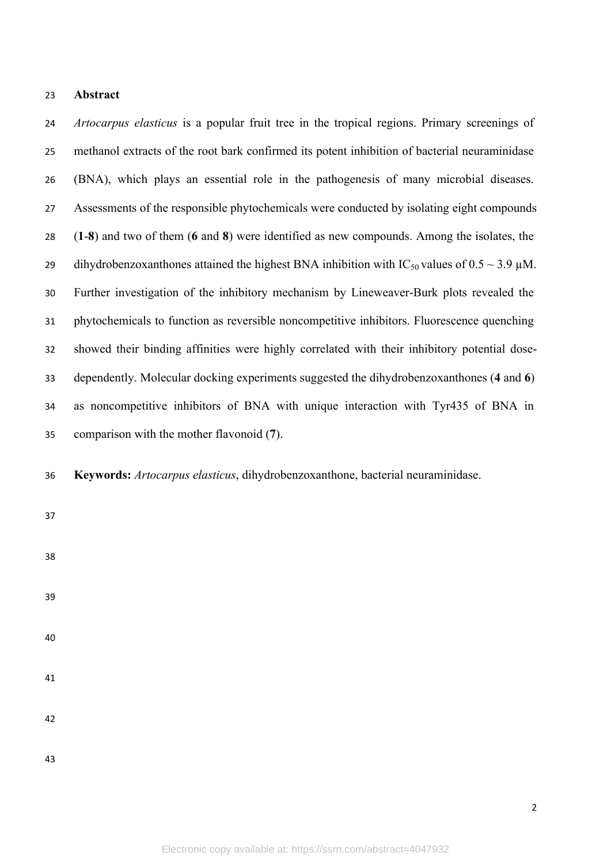#### **Abstract**

 *Artocarpus elasticus* is a popular fruit tree in the tropical regions. Primary screenings of methanol extracts of the root bark confirmed its potent inhibition of bacterial neuraminidase (BNA), which plays an essential role in the pathogenesis of many microbial diseases. Assessments of the responsible phytochemicals were conducted by isolating eight compounds (**1**-**8**) and two of them (**6** and **8**) were identified as new compounds. Among the isolates, the 29 dihydrobenzoxanthones attained the highest BNA inhibition with  $IC_{50}$  values of  $0.5 \sim 3.9 \mu M$ . Further investigation of the inhibitory mechanism by Lineweaver-Burk plots revealed the phytochemicals to function as reversible noncompetitive inhibitors. Fluorescence quenching showed their binding affinities were highly correlated with their inhibitory potential dose- dependently. Molecular docking experiments suggested the dihydrobenzoxanthones (**4** and **6**) as noncompetitive inhibitors of BNA with unique interaction with Tyr435 of BNA in comparison with the mother flavonoid (**7**).

**Keywords:** *Artocarpus elasticus*, dihydrobenzoxanthone, bacterial neuraminidase.

- 
- 
- 
- 
- 
- 

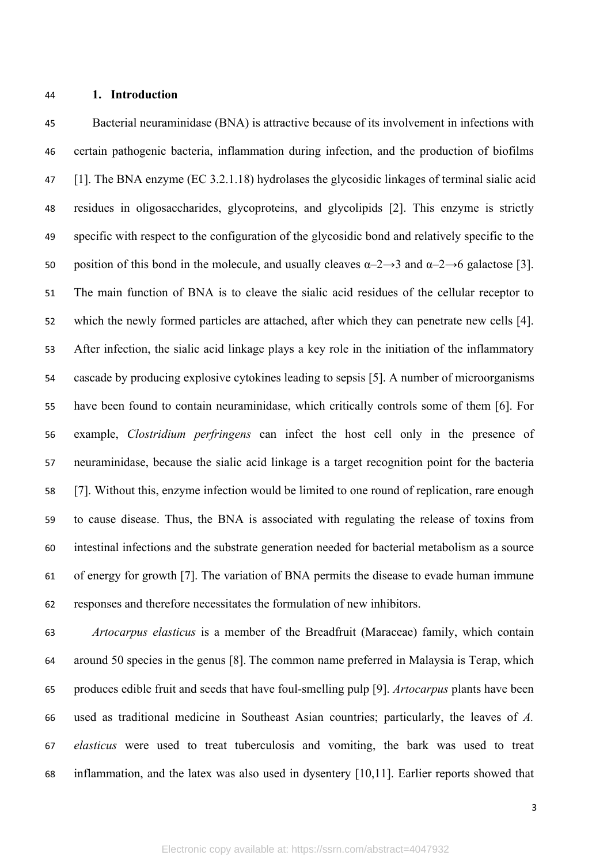### **1. Introduction**

 Bacterial neuraminidase (BNA) is attractive because of its involvement in infections with certain pathogenic bacteria, inflammation during infection, and the production of biofilms [1]. The BNA enzyme (EC 3.2.1.18) hydrolases the glycosidic linkages of terminal sialic acid residues in oligosaccharides, glycoproteins, and glycolipids [2]. This enzyme is strictly specific with respect to the configuration of the glycosidic bond and relatively specific to the 50 position of this bond in the molecule, and usually cleaves  $\alpha$ -2→3 and  $\alpha$ -2→6 galactose [3]. The main function of BNA is to cleave the sialic acid residues of the cellular receptor to which the newly formed particles are attached, after which they can penetrate new cells [4]. After infection, the sialic acid linkage plays a key role in the initiation of the inflammatory cascade by producing explosive cytokines leading to sepsis [5]. A number of microorganisms have been found to contain neuraminidase, which critically controls some of them [6]. For example, *Clostridium perfringens* can infect the host cell only in the presence of neuraminidase, because the sialic acid linkage is a target recognition point for the bacteria [7]. Without this, enzyme infection would be limited to one round of replication, rare enough to cause disease. Thus, the BNA is associated with regulating the release of toxins from intestinal infections and the substrate generation needed for bacterial metabolism as a source of energy for growth [7]. The variation of BNA permits the disease to evade human immune responses and therefore necessitates the formulation of new inhibitors.

 *Artocarpus elasticus* is a member of the Breadfruit (Maraceae) family, which contain around 50 species in the genus [8]. The common name preferred in Malaysia is Terap, which produces edible fruit and seeds that have foul-smelling pulp [9]. *Artocarpus* plants have been used as traditional medicine in Southeast Asian countries; particularly, the leaves of *A. elasticus* were used to treat tuberculosis and vomiting, the bark was used to treat inflammation, and the latex was also used in dysentery [10,11]. Earlier reports showed that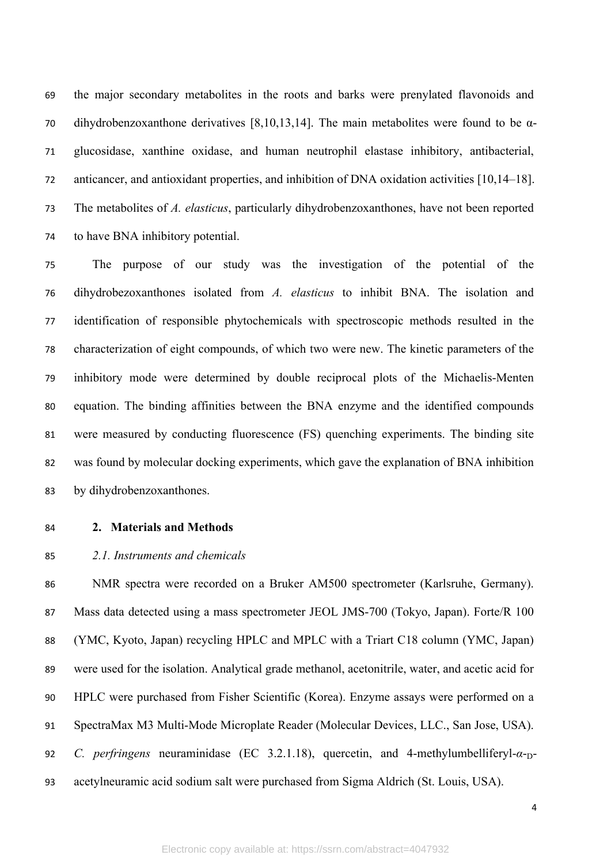the major secondary metabolites in the roots and barks were prenylated flavonoids and dihydrobenzoxanthone derivatives [8,10,13,14]. The main metabolites were found to be α- glucosidase, xanthine oxidase, and human neutrophil elastase inhibitory, antibacterial, anticancer, and antioxidant properties, and inhibition of DNA oxidation activities [10,14–18]. The metabolites of *A. elasticus*, particularly dihydrobenzoxanthones, have not been reported to have BNA inhibitory potential.

 The purpose of our study was the investigation of the potential of the dihydrobezoxanthones isolated from *A. elasticus* to inhibit BNA. The isolation and identification of responsible phytochemicals with spectroscopic methods resulted in the characterization of eight compounds, of which two were new. The kinetic parameters of the inhibitory mode were determined by double reciprocal plots of the Michaelis-Menten equation. The binding affinities between the BNA enzyme and the identified compounds were measured by conducting fluorescence (FS) quenching experiments. The binding site was found by molecular docking experiments, which gave the explanation of BNA inhibition by dihydrobenzoxanthones.

## **2. Materials and Methods**

# *2.1. Instruments and chemicals*

 NMR spectra were recorded on a Bruker AM500 spectrometer (Karlsruhe, Germany). 87 Mass data detected using a mass spectrometer JEOL JMS-700 (Tokyo, Japan). Forte/R 100 (YMC, Kyoto, Japan) recycling HPLC and MPLC with a Triart C18 column (YMC, Japan) were used for the isolation. Analytical grade methanol, acetonitrile, water, and acetic acid for HPLC were purchased from Fisher Scientific (Korea). Enzyme assays were performed on a SpectraMax M3 Multi-Mode Microplate Reader (Molecular Devices, LLC., San Jose, USA). *C. perfringens* neuraminidase (EC 3.2.1.18), quercetin, and 4-methylumbelliferyl-α-<sub>D</sub>-acetylneuramic acid sodium salt were purchased from Sigma Aldrich (St. Louis, USA).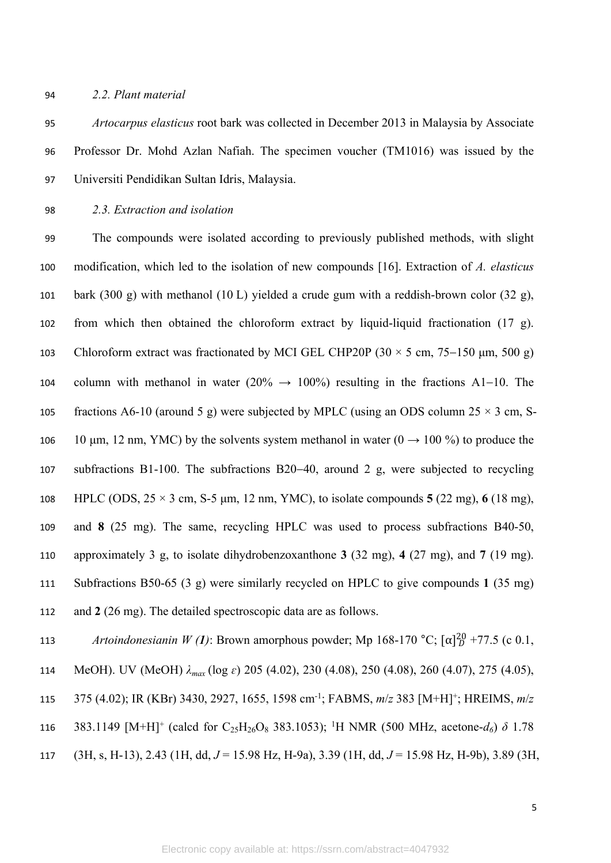#### *2.2. Plant material*

 *Artocarpus elasticus* root bark was collected in December 2013 in Malaysia by Associate Professor Dr. Mohd Azlan Nafiah. The specimen voucher (TM1016) was issued by the Universiti Pendidikan Sultan Idris, Malaysia.

*2.3. Extraction and isolation* 

 The compounds were isolated according to previously published methods, with slight modification, which led to the isolation of new compounds [16]. Extraction of *A. elasticus* bark (300 g) with methanol (10 L) yielded a crude gum with a reddish-brown color (32 g), from which then obtained the chloroform extract by liquid-liquid fractionation (17 g). 103 Chloroform extract was fractionated by MCI GEL CHP20P ( $30 \times 5$  cm,  $75-150$  µm,  $500$  g) 104 column with methanol in water (20%  $\rightarrow$  100%) resulting in the fractions A1–10. The 105 fractions A6-10 (around 5 g) were subjected by MPLC (using an ODS column  $25 \times 3$  cm, S-106 10 μm, 12 nm, YMC) by the solvents system methanol in water  $(0 \rightarrow 100\%)$  to produce the 107 subfractions B1-100. The subfractions B20-40, around 2 g, were subjected to recycling HPLC (ODS, 25 × 3 cm, S-5 μm, 12 nm, YMC), to isolate compounds **5** (22 mg), **6** (18 mg), and **8** (25 mg). The same, recycling HPLC was used to process subfractions B40-50, approximately 3 g, to isolate dihydrobenzoxanthone **3** (32 mg), **4** (27 mg), and **7** (19 mg). Subfractions B50-65 (3 g) were similarly recycled on HPLC to give compounds **1** (35 mg) and **2** (26 mg). The detailed spectroscopic data are as follows.

113 *Artoindonesianin W (1)*: Brown amorphous powder; Mp 168-170 °C;  $[\alpha]_D^{20}$  +77.5 (c 0.1,

- MeOH). UV (MeOH) *λmax* (log *ɛ*) 205 (4.02), 230 (4.08), 250 (4.08), 260 (4.07), 275 (4.05),
- 375 (4.02); IR (KBr) 3430, 2927, 1655, 1598 cm-1; FABMS, *m*/*z* 383 [M+H]<sup>+</sup> ; HREIMS, *m*/*z*
- 116 383.1149 [M+H]<sup>+</sup> (calcd for C<sub>25</sub>H<sub>26</sub>O<sub>8</sub> 383.1053); <sup>1</sup>H NMR (500 MHz, acetone- $d_6$ )  $\delta$  1.78
- (3H, s, H-13), 2.43 (1H, dd, *J* = 15.98 Hz, H-9a), 3.39 (1H, dd, *J* = 15.98 Hz, H-9b), 3.89 (3H,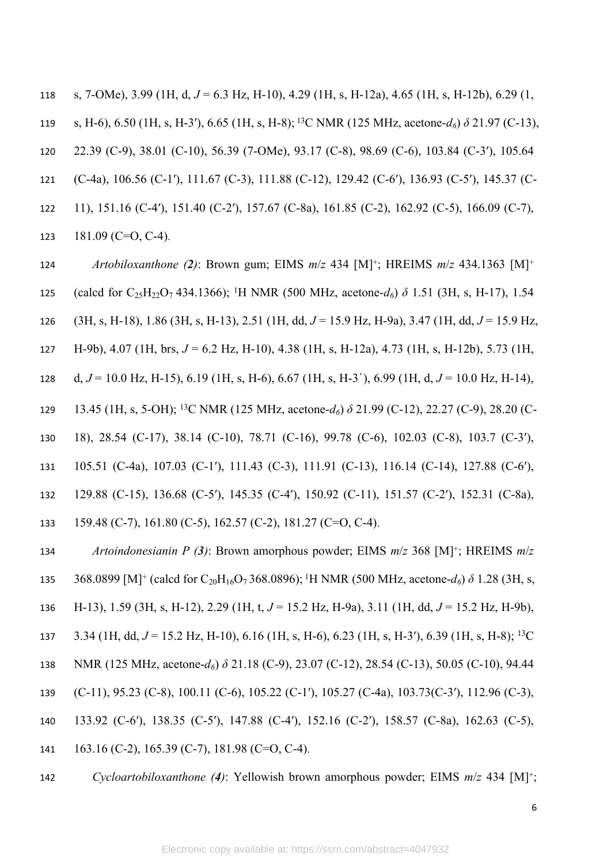s, 7-OMe), 3.99 (1H, d, *J* = 6.3 Hz, H-10), 4.29 (1H, s, H-12a), 4.65 (1H, s, H-12b), 6.29 (1, s, H-6), 6.50 (1H, s, H-3′), 6.65 (1H, s, H-8);<sup>13</sup>C NMR (125 MHz, acetone-*d6*) *δ* 21.97 (C-13), 22.39 (C-9), 38.01 (C-10), 56.39 (7-OMe), 93.17 (C-8), 98.69 (C-6), 103.84 (C-3′), 105.64 (C-4a), 106.56 (C-1′), 111.67 (C-3), 111.88 (C-12), 129.42 (C-6′), 136.93 (C-5′), 145.37 (C- 11), 151.16 (C-4′), 151.40 (C-2′), 157.67 (C-8a), 161.85 (C-2), 162.92 (C-5), 166.09 (C-7), 123 181.09 (C=O, C-4).

 *Artobiloxanthone (2)*: Brown gum; EIMS *m*/*z* 434 [M]<sup>+</sup> ; HREIMS *m*/*z* 434.1363 [M]<sup>+</sup> (calcd for C25H22O7 434.1366); <sup>1</sup>H NMR (500 MHz, acetone-*d6*) *δ* 1.51 (3H, s, H-17), 1.54 (3H, s, H-18), 1.86 (3H, s, H-13), 2.51 (1H, dd, *J* = 15.9 Hz, H-9a), 3.47 (1H, dd, *J* = 15.9 Hz, H-9b), 4.07 (1H, brs, *J* = 6.2 Hz, H-10), 4.38 (1H, s, H-12a), 4.73 (1H, s, H-12b), 5.73 (1H, d, *J* = 10.0 Hz, H-15), 6.19 (1H, s, H-6), 6.67 (1H, s, H-3′), 6.99 (1H, d, *J* = 10.0 Hz, H-14), 13.45 (1H, s, 5-OH); <sup>13</sup>C NMR (125 MHz, acetone-*d6*) *δ* 21.99 (C-12), 22.27 (C-9), 28.20 (C- 18), 28.54 (C-17), 38.14 (C-10), 78.71 (C-16), 99.78 (C-6), 102.03 (C-8), 103.7 (C-3′), 105.51 (C-4a), 107.03 (C-1′), 111.43 (C-3), 111.91 (C-13), 116.14 (C-14), 127.88 (C-6′), 129.88 (C-15), 136.68 (C-5′), 145.35 (C-4′), 150.92 (C-11), 151.57 (C-2′), 152.31 (C-8a), 159.48 (C-7), 161.80 (C-5), 162.57 (C-2), 181.27 (C=O, C-4).

 *Artoindonesianin P (3)*: Brown amorphous powder; EIMS *m*/*z* 368 [M]<sup>+</sup> ; HREIMS *m*/*z*  135 368.0899 [M]<sup>+</sup> (calcd for C<sub>20</sub>H<sub>16</sub>O<sub>7</sub> 368.0896);<sup>1</sup>H NMR (500 MHz, acetone- $d_6$ )  $\delta$  1.28 (3H, s, H-13), 1.59 (3H, s, H-12), 2.29 (1H, t, *J* = 15.2 Hz, H-9a), 3.11 (1H, dd, *J* = 15.2 Hz, H-9b), 3.34 (1H, dd, *J* = 15.2 Hz, H-10), 6.16 (1H, s, H-6), 6.23 (1H, s, H-3′), 6.39 (1H, s, H-8); <sup>13</sup>C NMR (125 MHz, acetone-*d6*) *δ* 21.18 (C-9), 23.07 (C-12), 28.54 (C-13), 50.05 (C-10), 94.44 (C-11), 95.23 (C-8), 100.11 (C-6), 105.22 (C-1′), 105.27 (C-4a), 103.73(C-3′), 112.96 (C-3), 133.92 (C-6′), 138.35 (C-5′), 147.88 (C-4′), 152.16 (C-2′), 158.57 (C-8a), 162.63 (C-5), 163.16 (C-2), 165.39 (C-7), 181.98 (C=O, C-4).

*Cycloartobiloxanthone (4)*: Yellowish brown amorphous powder; EIMS *m*/*z* 434 [M]<sup>+</sup> ;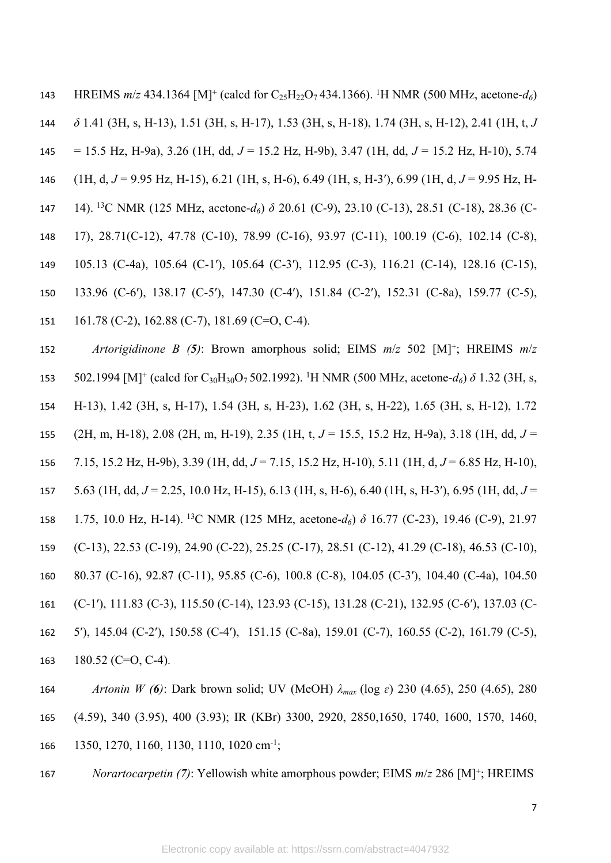143 HREIMS  $m/z$  434.1364 [M]<sup>+</sup> (calcd for C<sub>25</sub>H<sub>22</sub>O<sub>7</sub> 434.1366). <sup>1</sup>H NMR (500 MHz, acetone- $d_6$ ) *δ* 1.41 (3H, s, H-13), 1.51 (3H, s, H-17), 1.53 (3H, s, H-18), 1.74 (3H, s, H-12), 2.41 (1H, t, *J*  = 15.5 Hz, H-9a), 3.26 (1H, dd, *J* = 15.2 Hz, H-9b), 3.47 (1H, dd, *J* = 15.2 Hz, H-10), 5.74 (1H, d, *J* = 9.95 Hz, H-15), 6.21 (1H, s, H-6), 6.49 (1H, s, H-3′), 6.99 (1H, d, *J* = 9.95 Hz, H- 14).<sup>13</sup>C NMR (125 MHz, acetone-*d6*) *δ* 20.61 (C-9), 23.10 (C-13), 28.51 (C-18), 28.36 (C- 17), 28.71(C-12), 47.78 (C-10), 78.99 (C-16), 93.97 (C-11), 100.19 (C-6), 102.14 (C-8), 105.13 (C-4a), 105.64 (C-1′), 105.64 (C-3′), 112.95 (C-3), 116.21 (C-14), 128.16 (C-15), 133.96 (C-6′), 138.17 (C-5′), 147.30 (C-4′), 151.84 (C-2′), 152.31 (C-8a), 159.77 (C-5), 161.78 (C-2), 162.88 (C-7), 181.69 (C=O, C-4).

 *Artorigidinone B (5)*: Brown amorphous solid; EIMS *m*/*z* 502 [M]<sup>+</sup> ; HREIMS *m*/*z*  153 502.1994 [M]<sup>+</sup> (calcd for C<sub>30</sub>H<sub>30</sub>O<sub>7</sub> 502.1992). <sup>1</sup>H NMR (500 MHz, acetone- $d_6$ )  $\delta$  1.32 (3H, s, H-13), 1.42 (3H, s, H-17), 1.54 (3H, s, H-23), 1.62 (3H, s, H-22), 1.65 (3H, s, H-12), 1.72 (2H, m, H-18), 2.08 (2H, m, H-19), 2.35 (1H, t, *J* = 15.5, 15.2 Hz, H-9a), 3.18 (1H, dd, *J* = 7.15, 15.2 Hz, H-9b), 3.39 (1H, dd, *J* = 7.15, 15.2 Hz, H-10), 5.11 (1H, d, *J* = 6.85 Hz, H-10), 5.63 (1H, dd, *J* = 2.25, 10.0 Hz, H-15), 6.13 (1H, s, H-6), 6.40 (1H, s, H-3′), 6.95 (1H, dd, *J* = 1.75, 10.0 Hz, H-14).<sup>13</sup>C NMR (125 MHz, acetone-*d6*) *δ* 16.77 (C-23), 19.46 (C-9), 21.97 (C-13), 22.53 (C-19), 24.90 (C-22), 25.25 (C-17), 28.51 (C-12), 41.29 (C-18), 46.53 (C-10), 80.37 (C-16), 92.87 (C-11), 95.85 (C-6), 100.8 (C-8), 104.05 (C-3′), 104.40 (C-4a), 104.50 (C-1′), 111.83 (C-3), 115.50 (C-14), 123.93 (C-15), 131.28 (C-21), 132.95 (C-6′), 137.03 (C- 5′), 145.04 (C-2′), 150.58 (C-4′), 151.15 (C-8a), 159.01 (C-7), 160.55 (C-2), 161.79 (C-5), 180.52 (C=O, C-4).

 *Artonin W (6)*: Dark brown solid; UV (MeOH) *λmax* (log *ɛ*) 230 (4.65), 250 (4.65), 280 (4.59), 340 (3.95), 400 (3.93); IR (KBr) 3300, 2920, 2850,1650, 1740, 1600, 1570, 1460, 166 1350, 1270, 1160, 1130, 1110, 1020 cm<sup>-1</sup>;

*Norartocarpetin (7)*: Yellowish white amorphous powder; EIMS *m*/*z* 286 [M]<sup>+</sup> ; HREIMS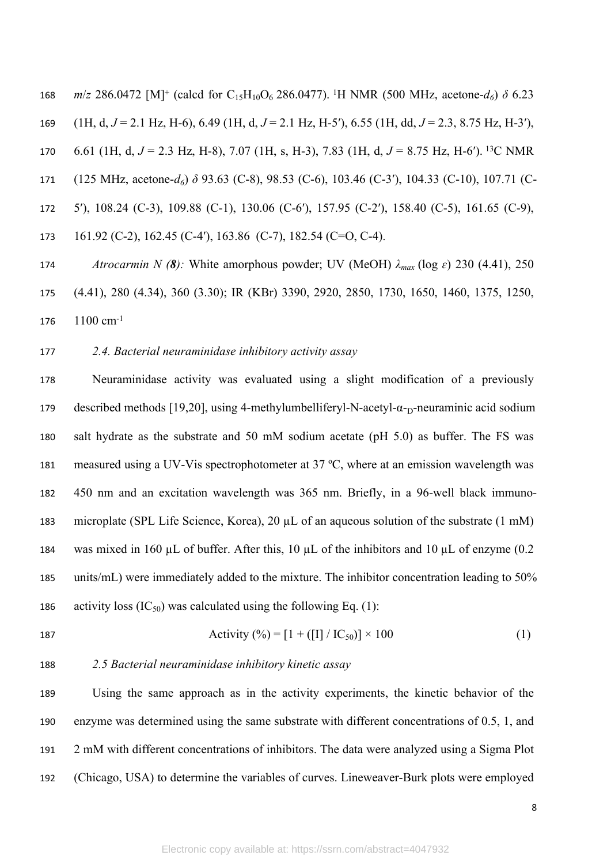*m/z* 286.0472 [M]<sup>+</sup> (calcd for C<sub>15</sub>H<sub>10</sub>O<sub>6</sub> 286.0477). <sup>1</sup>H NMR (500 MHz, acetone- $d_6$ )  $\delta$  6.23 (1H, d, *J* = 2.1 Hz, H-6), 6.49 (1H, d, *J* = 2.1 Hz, H-5′), 6.55 (1H, dd, *J* = 2.3, 8.75 Hz, H-3′), 6.61 (1H, d, *J* = 2.3 Hz, H-8), 7.07 (1H, s, H-3), 7.83 (1H, d, *J* = 8.75 Hz, H-6′).<sup>13</sup>C NMR (125 MHz, acetone-*d6*) *δ* 93.63 (C-8), 98.53 (C-6), 103.46 (C-3′), 104.33 (C-10), 107.71 (C- 5′), 108.24 (C-3), 109.88 (C-1), 130.06 (C-6′), 157.95 (C-2′), 158.40 (C-5), 161.65 (C-9), 161.92 (C-2), 162.45 (C-4′), 163.86 (C-7), 182.54 (C=O, C-4). *Atrocarmin N (8):* White amorphous powder; UV (MeOH) *λmax* (log *ɛ*) 230 (4.41), 250

 (4.41), 280 (4.34), 360 (3.30); IR (KBr) 3390, 2920, 2850, 1730, 1650, 1460, 1375, 1250, 176 1100 cm<sup>-1</sup>

# *2.4. Bacterial neuraminidase inhibitory activity assay*

 Neuraminidase activity was evaluated using a slight modification of a previously 179 described methods [19,20], using 4-methylumbelliferyl-N-acetyl- $\alpha$ -<sub>D</sub>-neuraminic acid sodium salt hydrate as the substrate and 50 mM sodium acetate (pH 5.0) as buffer. The FS was measured using a UV-Vis spectrophotometer at 37 ºC, where at an emission wavelength was 450 nm and an excitation wavelength was 365 nm. Briefly, in a 96-well black immuno- microplate (SPL Life Science, Korea), 20 µL of an aqueous solution of the substrate (1 mM) 184 was mixed in 160  $\mu$ L of buffer. After this, 10  $\mu$ L of the inhibitors and 10  $\mu$ L of enzyme (0.2 units/mL) were immediately added to the mixture. The inhibitor concentration leading to 50% 186 activity loss  $(IC_{50})$  was calculated using the following Eq. (1):

187 
$$
\text{Activity } (\%)= [1 + ([I] / IC_{50})] \times 100 \tag{1}
$$

## *2.5 Bacterial neuraminidase inhibitory kinetic assay*

 Using the same approach as in the activity experiments, the kinetic behavior of the enzyme was determined using the same substrate with different concentrations of 0.5, 1, and 2 mM with different concentrations of inhibitors. The data were analyzed using a Sigma Plot (Chicago, USA) to determine the variables of curves. Lineweaver-Burk plots were employed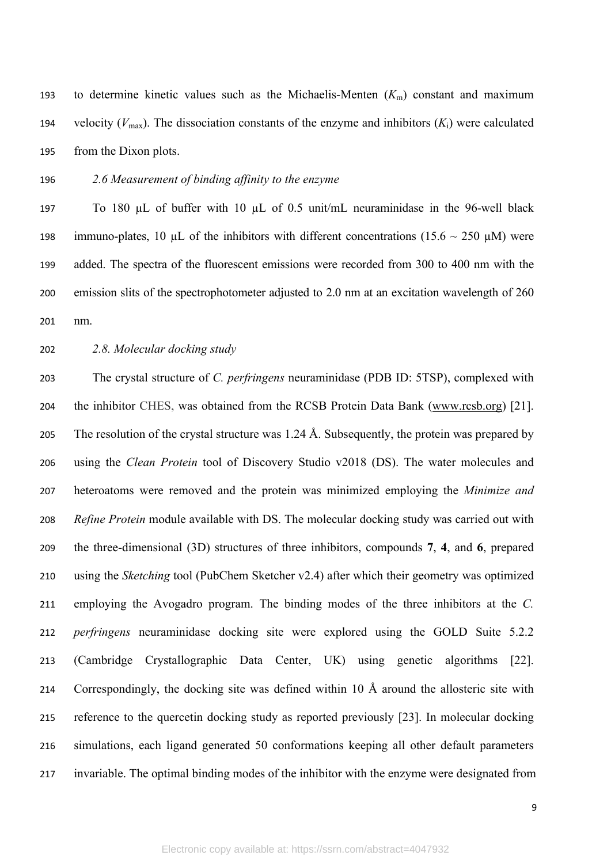193 to determine kinetic values such as the Michaelis-Menten  $(K<sub>m</sub>)$  constant and maximum 194 velocity  $(V_{\text{max}})$ . The dissociation constants of the enzyme and inhibitors  $(K_i)$  were calculated from the Dixon plots.

*2.6 Measurement of binding affinity to the enzyme*

 To 180 µL of buffer with 10 µL of 0.5 unit/mL neuraminidase in the 96-well black 198 immuno-plates, 10  $\mu$ L of the inhibitors with different concentrations (15.6 ~ 250  $\mu$ M) were added. The spectra of the fluorescent emissions were recorded from 300 to 400 nm with the emission slits of the spectrophotometer adjusted to 2.0 nm at an excitation wavelength of 260 nm.

*2.8. Molecular docking study*

 The crystal structure of *C. perfringens* neuraminidase (PDB ID: 5TSP), complexed with the inhibitor CHES, was obtained from the RCSB Protein Data Bank [\(www.rcsb.org](http://www.rcsb.org)) [21]. 205 The resolution of the crystal structure was  $1.24 \text{ Å}$ . Subsequently, the protein was prepared by using the *Clean Protein* tool of Discovery Studio v2018 (DS). The water molecules and heteroatoms were removed and the protein was minimized employing the *Minimize and Refine Protein* module available with DS. The molecular docking study was carried out with the three-dimensional (3D) structures of three inhibitors, compounds **7**, **4**, and **6**, prepared using the *Sketching* tool (PubChem Sketcher v2.4) after which their geometry was optimized employing the Avogadro program. The binding modes of the three inhibitors at the *C. perfringens* neuraminidase docking site were explored using the GOLD Suite 5.2.2 (Cambridge Crystallographic Data Center, UK) using genetic algorithms [22]. Correspondingly, the docking site was defined within 10 Å around the allosteric site with reference to the quercetin docking study as reported previously [23]. In molecular docking simulations, each ligand generated 50 conformations keeping all other default parameters invariable. The optimal binding modes of the inhibitor with the enzyme were designated from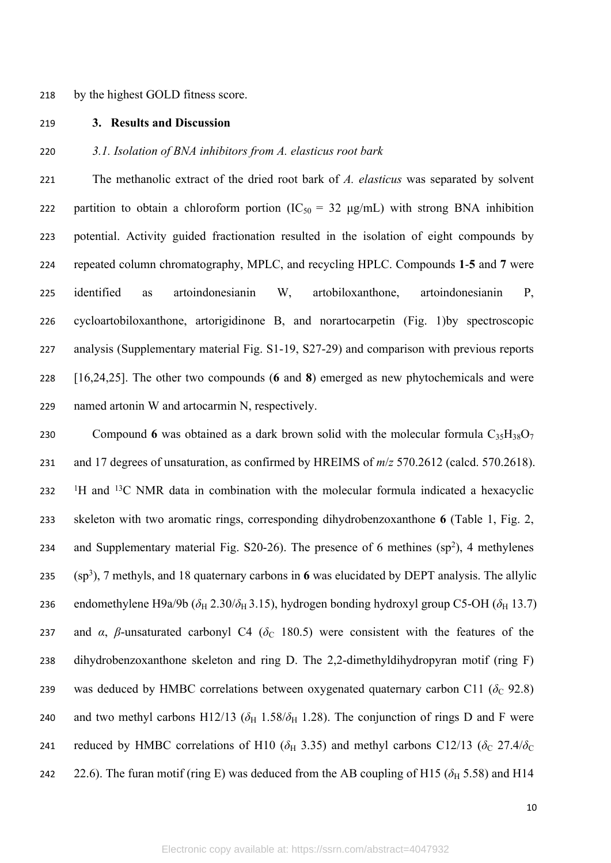#### 218 by the highest GOLD fitness score.

219 **3. Results and Discussion**

220 *3.1. Isolation of BNA inhibitors from A. elasticus root bark* 

 The methanolic extract of the dried root bark of *A. elasticus* was separated by solvent 222 partition to obtain a chloroform portion  $(IC_{50} = 32 \mu g/mL)$  with strong BNA inhibition potential. Activity guided fractionation resulted in the isolation of eight compounds by repeated column chromatography, MPLC, and recycling HPLC. Compounds **1**-**5** and **7** were identified as artoindonesianin W, artobiloxanthone, artoindonesianin P, cycloartobiloxanthone, artorigidinone B, and norartocarpetin (Fig. 1)by spectroscopic analysis (Supplementary material Fig. S1-19, S27-29) and comparison with previous reports [16,24,25]. The other two compounds (**6** and **8**) emerged as new phytochemicals and were named artonin W and artocarmin N, respectively.

230 Compound 6 was obtained as a dark brown solid with the molecular formula  $C_{35}H_{38}O_7$ 231 and 17 degrees of unsaturation, as confirmed by HREIMS of *m*/*z* 570.2612 (calcd. 570.2618). <sup>1</sup>H and <sup>13</sup>C NMR data in combination with the molecular formula indicated a hexacyclic 233 skeleton with two aromatic rings, corresponding dihydrobenzoxanthone **6** (Table 1, Fig. 2, 234 and Supplementary material Fig. S20-26). The presence of 6 methines  $(sp^2)$ , 4 methylenes 235 (sp<sup>3</sup> ), 7 methyls, and 18 quaternary carbons in **6** was elucidated by DEPT analysis. The allylic 236 endomethylene H9a/9b ( $\delta$ <sub>H</sub> 2.30/ $\delta$ <sub>H</sub> 3.15), hydrogen bonding hydroxyl group C5-OH ( $\delta$ <sub>H</sub> 13.7) 237 and  $\alpha$ ,  $\beta$ -unsaturated carbonyl C4 ( $\delta$ <sub>C</sub> 180.5) were consistent with the features of the 238 dihydrobenzoxanthone skeleton and ring D. The 2,2-dimethyldihydropyran motif (ring F) 239 was deduced by HMBC correlations between oxygenated quaternary carbon C11 ( $\delta_c$  92.8) 240 and two methyl carbons H12/13 ( $\delta_H$  1.58/ $\delta_H$  1.28). The conjunction of rings D and F were 241 reduced by HMBC correlations of H10 ( $\delta$ <sub>H</sub> 3.35) and methyl carbons C12/13 ( $\delta$ <sub>C</sub> 27.4/ $\delta$ <sub>C</sub> 242 22.6). The furan motif (ring E) was deduced from the AB coupling of H15 ( $\delta_H$  5.58) and H14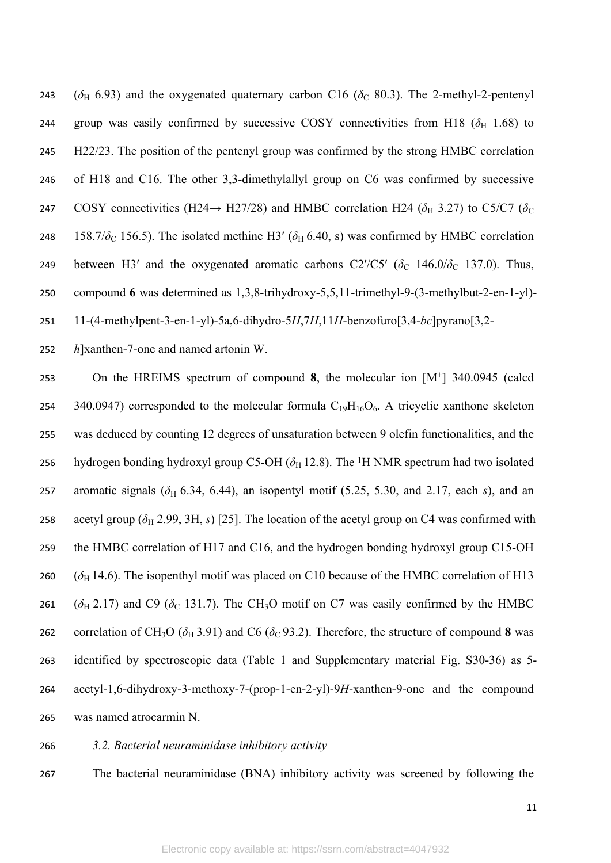243 ( $\delta$ <sub>H</sub> 6.93) and the oxygenated quaternary carbon C16 ( $\delta$ <sub>C</sub> 80.3). The 2-methyl-2-pentenyl 244 group was easily confirmed by successive COSY connectivities from H18  $(\delta_H \ 1.68)$  to 245 H22/23. The position of the pentenyl group was confirmed by the strong HMBC correlation 246 of H18 and C16. The other 3,3-dimethylallyl group on C6 was confirmed by successive 247 COSY connectivities (H24 $\rightarrow$  H27/28) and HMBC correlation H24 ( $\delta_H$  3.27) to C5/C7 ( $\delta_C$ 248 158.7/ $\delta$ <sub>C</sub> 156.5). The isolated methine H3' ( $\delta$ <sub>H</sub> 6.40, s) was confirmed by HMBC correlation 249 between H3' and the oxygenated aromatic carbons C2'/C5' ( $\delta_c$  146.0/ $\delta_c$  137.0). Thus, 250 compound **6** was determined as 1,3,8-trihydroxy-5,5,11-trimethyl-9-(3-methylbut-2-en-1-yl)- 251 11-(4-methylpent-3-en-1-yl)-5a,6-dihydro-5*H*,7*H*,11*H*-benzofuro[3,4-*bc*]pyrano[3,2-

252 *h*]xanthen-7-one and named artonin W.

253 On the HREIMS spectrum of compound **8**, the molecular ion [M<sup>+</sup> ] 340.0945 (calcd 254 340.0947) corresponded to the molecular formula  $C_{19}H_{16}O_6$ . A tricyclic xanthone skeleton 255 was deduced by counting 12 degrees of unsaturation between 9 olefin functionalities, and the 256 hydrogen bonding hydroxyl group C5-OH ( $\delta_H$  12.8). The <sup>1</sup>H NMR spectrum had two isolated 257 aromatic signals  $(\delta_H 6.34, 6.44)$ , an isopentyl motif (5.25, 5.30, and 2.17, each *s*), and an 258 acetyl group ( $\delta_H$  2.99, 3H, *s*) [25]. The location of the acetyl group on C4 was confirmed with 259 the HMBC correlation of H17 and C16, and the hydrogen bonding hydroxyl group C15-OH 260 ( $\delta_H$  14.6). The isopenthyl motif was placed on C10 because of the HMBC correlation of H13 261 ( $\delta_H$  2.17) and C9 ( $\delta_C$  131.7). The CH<sub>3</sub>O motif on C7 was easily confirmed by the HMBC 262 correlation of CH<sub>3</sub>O ( $\delta_H$  3.91) and C6 ( $\delta_C$  93.2). Therefore, the structure of compound 8 was 263 identified by spectroscopic data (Table 1 and Supplementary material Fig. S30-36) as 5- 264 acetyl-1,6-dihydroxy-3-methoxy-7-(prop-1-en-2-yl)-9*H*-xanthen-9-one and the compound 265 was named atrocarmin N.

- 266 *3.2. Bacterial neuraminidase inhibitory activity*
- 267 The bacterial neuraminidase (BNA) inhibitory activity was screened by following the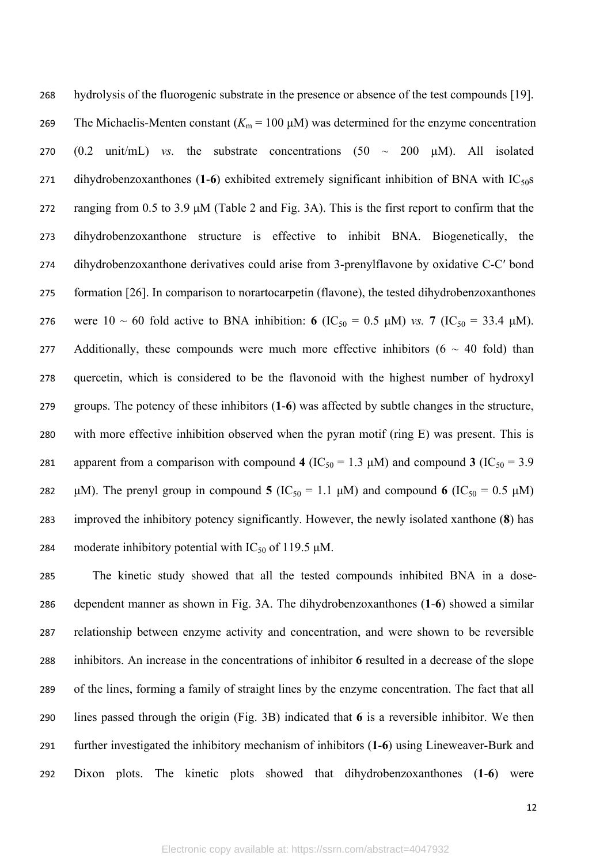hydrolysis of the fluorogenic substrate in the presence or absence of the test compounds [19]. 269 The Michaelis-Menten constant  $(K<sub>m</sub> = 100 \mu M)$  was determined for the enzyme concentration 270  $(0.2 \text{ unit/mL})$  *vs.* the substrate concentrations  $(50 \sim 200 \text{ }\mu\text{M})$ . All isolated 271 dihydrobenzoxanthones (1-6) exhibited extremely significant inhibition of BNA with IC<sub>50</sub>s ranging from 0.5 to 3.9 μM (Table 2 and Fig. 3A). This is the first report to confirm that the dihydrobenzoxanthone structure is effective to inhibit BNA. Biogenetically, the dihydrobenzoxanthone derivatives could arise from 3-prenylflavone by oxidative C-C′ bond formation [26]. In comparison to norartocarpetin (flavone), the tested dihydrobenzoxanthones 276 were 10 ~ 60 fold active to BNA inhibition: **6** (IC<sub>50</sub> = 0.5 μM) *vs.* 7 (IC<sub>50</sub> = 33.4 μM). 277 Additionally, these compounds were much more effective inhibitors  $(6 \sim 40 \text{ fold})$  than quercetin, which is considered to be the flavonoid with the highest number of hydroxyl groups. The potency of these inhibitors (**1**-**6**) was affected by subtle changes in the structure, with more effective inhibition observed when the pyran motif (ring E) was present. This is 281 apparent from a comparison with compound 4 ( $IC_{50} = 1.3 \mu M$ ) and compound 3 ( $IC_{50} = 3.9$ 282 μM). The prenyl group in compound **5** (IC<sub>50</sub> = 1.1 μM) and compound **6** (IC<sub>50</sub> = 0.5 μM) improved the inhibitory potency significantly. However, the newly isolated xanthone (**8**) has 284 moderate inhibitory potential with  $IC_{50}$  of 119.5  $\mu$ M.

 The kinetic study showed that all the tested compounds inhibited BNA in a dose- dependent manner as shown in Fig. 3A. The dihydrobenzoxanthones (**1**-**6**) showed a similar relationship between enzyme activity and concentration, and were shown to be reversible inhibitors. An increase in the concentrations of inhibitor **6** resulted in a decrease of the slope of the lines, forming a family of straight lines by the enzyme concentration. The fact that all lines passed through the origin (Fig. 3B) indicated that **6** is a reversible inhibitor. We then further investigated the inhibitory mechanism of inhibitors (**1**-**6**) using Lineweaver-Burk and Dixon plots. The kinetic plots showed that dihydrobenzoxanthones (**1**-**6**) were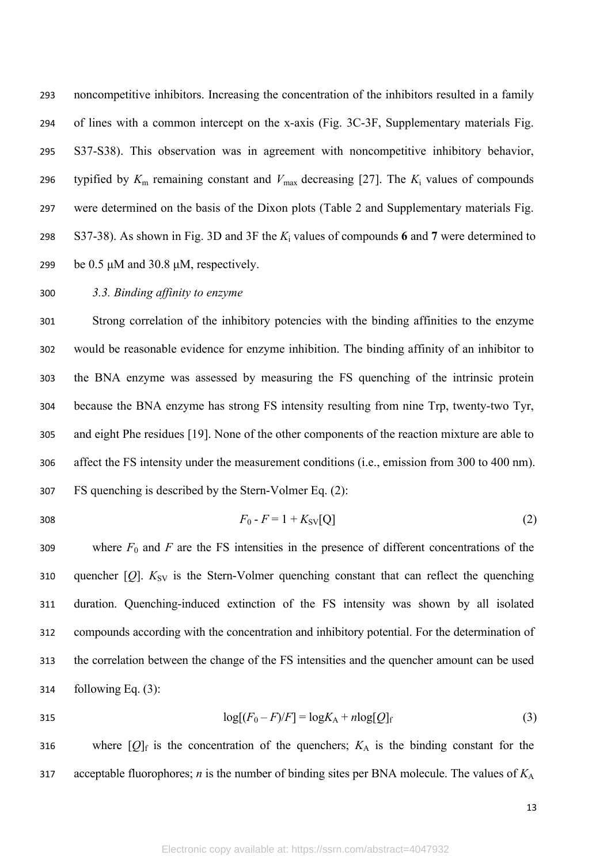noncompetitive inhibitors. Increasing the concentration of the inhibitors resulted in a family of lines with a common intercept on the x-axis (Fig. 3C-3F, Supplementary materials Fig. S37-S38). This observation was in agreement with noncompetitive inhibitory behavior, 296 typified by  $K_m$  remaining constant and  $V_{\text{max}}$  decreasing [27]. The  $K_i$  values of compounds were determined on the basis of the Dixon plots (Table 2 and Supplementary materials Fig. 298 S37-38). As shown in Fig. 3D and 3F the  $K_i$  values of compounds 6 and 7 were determined to be 0.5 μM and 30.8 μM, respectively.

## *3.3. Binding affinity to enzyme*

 Strong correlation of the inhibitory potencies with the binding affinities to the enzyme would be reasonable evidence for enzyme inhibition. The binding affinity of an inhibitor to the BNA enzyme was assessed by measuring the FS quenching of the intrinsic protein because the BNA enzyme has strong FS intensity resulting from nine Trp, twenty-two Tyr, and eight Phe residues [19]. None of the other components of the reaction mixture are able to affect the FS intensity under the measurement conditions (i.e., emission from 300 to 400 nm). FS quenching is described by the Stern-Volmer Eq. (2):

308 
$$
F_0 - F = 1 + K_{SV}[Q]
$$
 (2)

309 where  $F_0$  and  $F$  are the FS intensities in the presence of different concentrations of the 310 quencher  $[Q]$ .  $K_{SV}$  is the Stern-Volmer quenching constant that can reflect the quenching duration. Quenching-induced extinction of the FS intensity was shown by all isolated compounds according with the concentration and inhibitory potential. For the determination of the correlation between the change of the FS intensities and the quencher amount can be used following Eq. (3):

315 
$$
\log[(F_0 - F)/F] = \log K_A + n \log [Q]_f
$$
 (3)

316 where  $[Q]_f$  is the concentration of the quenchers;  $K_A$  is the binding constant for the acceptable fluorophores; *n* is the number of binding sites per BNA molecule. The values of *K*<sup>A</sup>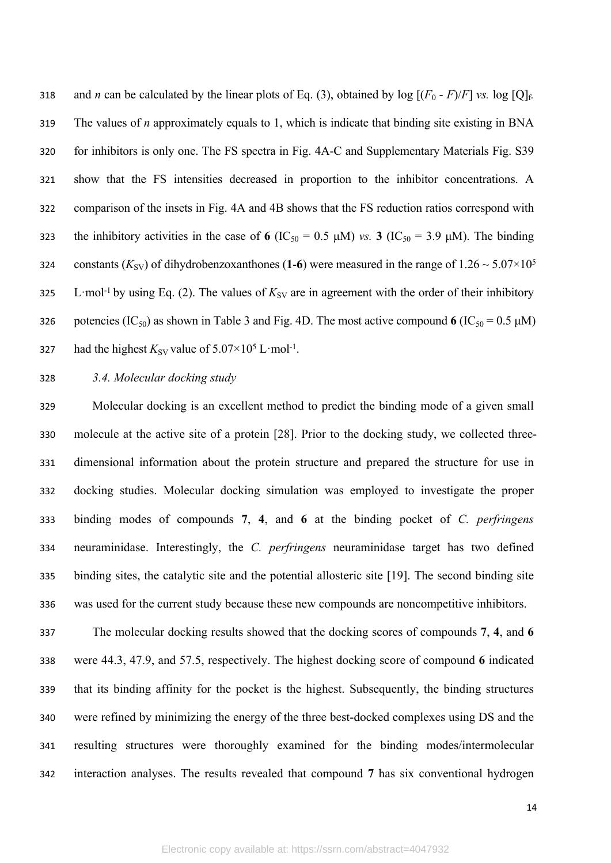318 and *n* can be calculated by the linear plots of Eq. (3), obtained by  $log$  [ $(F_0 - F)/F$ ] *vs.*  $log$  [Q]<sub>f</sub>. The values of *n* approximately equals to 1, which is indicate that binding site existing in BNA for inhibitors is only one. The FS spectra in Fig. 4A-C and Supplementary Materials Fig. S39 show that the FS intensities decreased in proportion to the inhibitor concentrations. A comparison of the insets in Fig. 4A and 4B shows that the FS reduction ratios correspond with 323 the inhibitory activities in the case of 6  $(IC_{50} = 0.5 \mu M)$  *vs.* **3**  $(IC_{50} = 3.9 \mu M)$ . The binding 324 constants  $(K_{SV})$  of dihydrobenzoxanthones (1-6) were measured in the range of  $1.26 \sim 5.07 \times 10^5$ 325 L·mol<sup>-1</sup> by using Eq. (2). The values of  $K_{SV}$  are in agreement with the order of their inhibitory 326 potencies  $(IC_{50})$  as shown in Table 3 and Fig. 4D. The most active compound 6  $(IC_{50} = 0.5 \mu M)$ 327 had the highest  $K_{SV}$  value of  $5.07 \times 10^5$  L·mol<sup>-1</sup>.

*3.4. Molecular docking study*

 Molecular docking is an excellent method to predict the binding mode of a given small molecule at the active site of a protein [28]. Prior to the docking study, we collected three- dimensional information about the protein structure and prepared the structure for use in docking studies. Molecular docking simulation was employed to investigate the proper binding modes of compounds **7**, **4**, and **6** at the binding pocket of *C. perfringens* neuraminidase. Interestingly, the *C. perfringens* neuraminidase target has two defined binding sites, the catalytic site and the potential allosteric site [19]. The second binding site was used for the current study because these new compounds are noncompetitive inhibitors.

 The molecular docking results showed that the docking scores of compounds **7**, **4**, and **6** were 44.3, 47.9, and 57.5, respectively. The highest docking score of compound **6** indicated that its binding affinity for the pocket is the highest. Subsequently, the binding structures were refined by minimizing the energy of the three best-docked complexes using DS and the resulting structures were thoroughly examined for the binding modes/intermolecular interaction analyses. The results revealed that compound **7** has six conventional hydrogen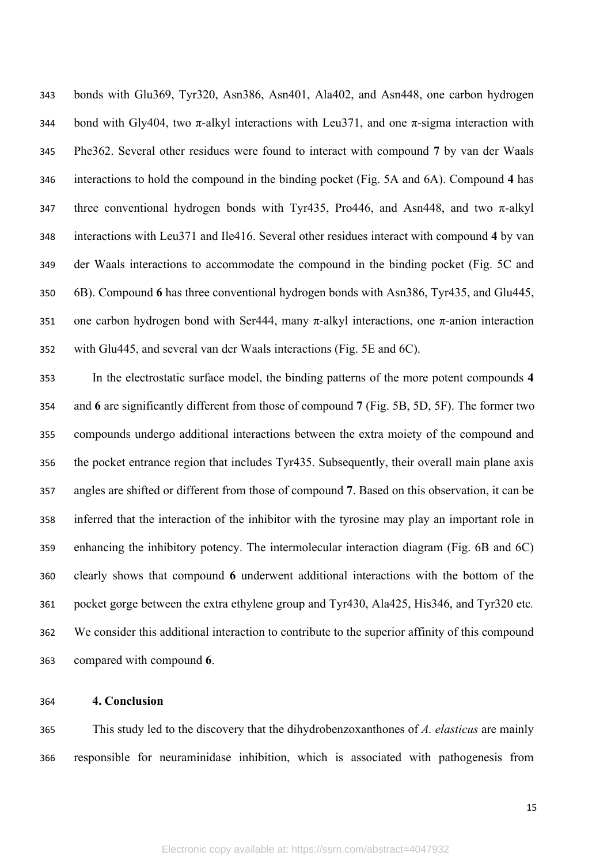bonds with Glu369, Tyr320, Asn386, Asn401, Ala402, and Asn448, one carbon hydrogen 344 bond with Gly404, two  $\pi$ -alkyl interactions with Leu371, and one  $\pi$ -sigma interaction with Phe362. Several other residues were found to interact with compound **7** by van der Waals interactions to hold the compound in the binding pocket (Fig. 5A and 6A). Compound **4** has 347 three conventional hydrogen bonds with Tyr435, Pro446, and Asn448, and two  $\pi$ -alkyl interactions with Leu371 and Ile416. Several other residues interact with compound **4** by van der Waals interactions to accommodate the compound in the binding pocket (Fig. 5C and 6B). Compound **6** has three conventional hydrogen bonds with Asn386, Tyr435, and Glu445, 351 one carbon hydrogen bond with Ser444, many  $\pi$ -alkyl interactions, one  $\pi$ -anion interaction with Glu445, and several van der Waals interactions (Fig. 5E and 6C).

 In the electrostatic surface model, the binding patterns of the more potent compounds **4**  and **6** are significantly different from those of compound **7** (Fig. 5B, 5D, 5F). The former two compounds undergo additional interactions between the extra moiety of the compound and the pocket entrance region that includes Tyr435. Subsequently, their overall main plane axis angles are shifted or different from those of compound **7**. Based on this observation, it can be inferred that the interaction of the inhibitor with the tyrosine may play an important role in enhancing the inhibitory potency. The intermolecular interaction diagram (Fig. 6B and 6C) clearly shows that compound **6** underwent additional interactions with the bottom of the pocket gorge between the extra ethylene group and Tyr430, Ala425, His346, and Tyr320 etc*.* We consider this additional interaction to contribute to the superior affinity of this compound compared with compound **6**.

# **4. Conclusion**

 This study led to the discovery that the dihydrobenzoxanthones of *A. elasticus* are mainly responsible for neuraminidase inhibition, which is associated with pathogenesis from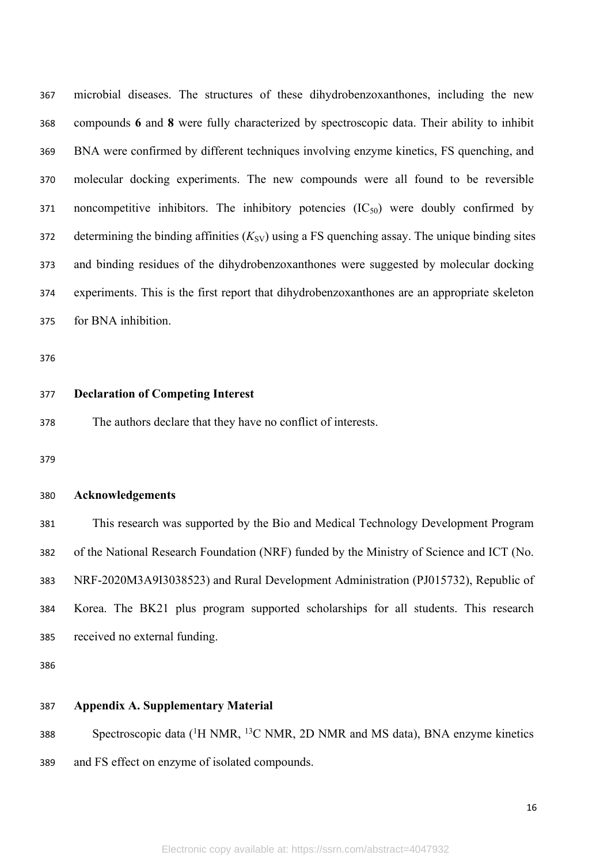microbial diseases. The structures of these dihydrobenzoxanthones, including the new compounds **6** and **8** were fully characterized by spectroscopic data. Their ability to inhibit BNA were confirmed by different techniques involving enzyme kinetics, FS quenching, and molecular docking experiments. The new compounds were all found to be reversible 371 noncompetitive inhibitors. The inhibitory potencies  $(IC_{50})$  were doubly confirmed by 372 determining the binding affinities  $(K_{SV})$  using a FS quenching assay. The unique binding sites and binding residues of the dihydrobenzoxanthones were suggested by molecular docking experiments. This is the first report that dihydrobenzoxanthones are an appropriate skeleton for BNA inhibition.

#### **Declaration of Competing Interest**

The authors declare that they have no conflict of interests.

#### **Acknowledgements**

 This research was supported by the Bio and Medical Technology Development Program of the National Research Foundation (NRF) funded by the Ministry of Science and ICT (No. NRF-2020M3A9I3038523) and Rural Development Administration (PJ015732), Republic of Korea. The BK21 plus program supported scholarships for all students. This research received no external funding.

### **Appendix A. Supplementary Material**

 Spectroscopic data (<sup>1</sup>H NMR, <sup>13</sup>C NMR, 2D NMR and MS data), BNA enzyme kinetics and FS effect on enzyme of isolated compounds.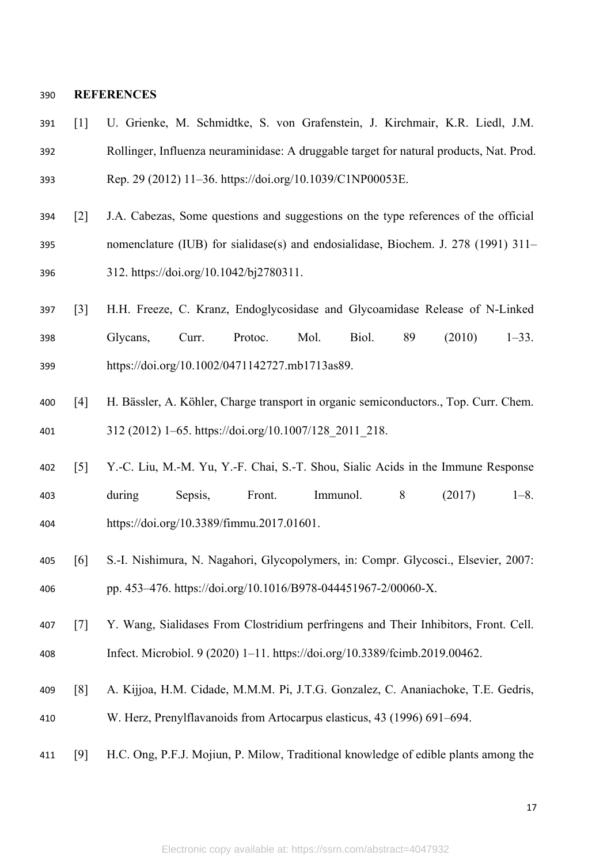#### **REFERENCES**

- [1] U. Grienke, M. Schmidtke, S. von Grafenstein, J. Kirchmair, K.R. Liedl, J.M. Rollinger, Influenza neuraminidase: A druggable target for natural products, Nat. Prod. Rep. 29 (2012) 11–36. https://doi.org/10.1039/C1NP00053E.
- [2] J.A. Cabezas, Some questions and suggestions on the type references of the official nomenclature (IUB) for sialidase(s) and endosialidase, Biochem. J. 278 (1991) 311– 312. https://doi.org/10.1042/bj2780311.
- [3] H.H. Freeze, C. Kranz, Endoglycosidase and Glycoamidase Release of N‐Linked Glycans, Curr. Protoc. Mol. Biol. 89 (2010) 1–33. https://doi.org/10.1002/0471142727.mb1713as89.
- [4] H. Bässler, A. Köhler, Charge transport in organic semiconductors., Top. Curr. Chem. 312 (2012) 1–65. https://doi.org/10.1007/128\_2011\_218.
- [5] Y.-C. Liu, M.-M. Yu, Y.-F. Chai, S.-T. Shou, Sialic Acids in the Immune Response during Sepsis, Front. Immunol. 8 (2017) 1–8. https://doi.org/10.3389/fimmu.2017.01601.
- [6] S.-I. Nishimura, N. Nagahori, Glycopolymers, in: Compr. Glycosci., Elsevier, 2007: pp. 453–476. https://doi.org/10.1016/B978-044451967-2/00060-X.
- [7] Y. Wang, Sialidases From Clostridium perfringens and Their Inhibitors, Front. Cell. Infect. Microbiol. 9 (2020) 1–11. https://doi.org/10.3389/fcimb.2019.00462.
- [8] A. Kijjoa, H.M. Cidade, M.M.M. Pi, J.T.G. Gonzalez, C. Ananiachoke, T.E. Gedris, W. Herz, Prenylflavanoids from Artocarpus elasticus, 43 (1996) 691–694.
- [9] H.C. Ong, P.F.J. Mojiun, P. Milow, Traditional knowledge of edible plants among the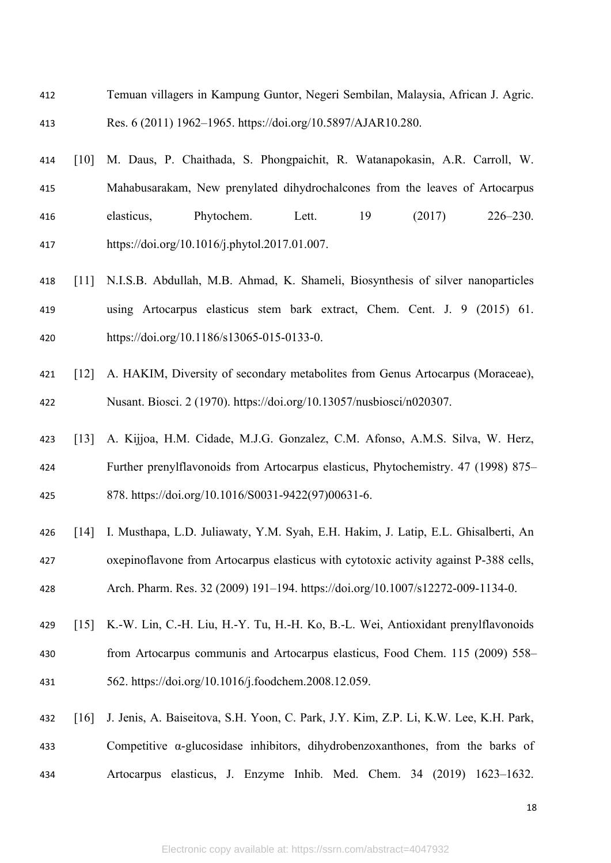- Temuan villagers in Kampung Guntor, Negeri Sembilan, Malaysia, African J. Agric. Res. 6 (2011) 1962–1965. https://doi.org/10.5897/AJAR10.280.
- [10] M. Daus, P. Chaithada, S. Phongpaichit, R. Watanapokasin, A.R. Carroll, W. Mahabusarakam, New prenylated dihydrochalcones from the leaves of Artocarpus elasticus, Phytochem. Lett. 19 (2017) 226–230. https://doi.org/10.1016/j.phytol.2017.01.007.
- [11] N.I.S.B. Abdullah, M.B. Ahmad, K. Shameli, Biosynthesis of silver nanoparticles using Artocarpus elasticus stem bark extract, Chem. Cent. J. 9 (2015) 61. https://doi.org/10.1186/s13065-015-0133-0.
- [12] A. HAKIM, Diversity of secondary metabolites from Genus Artocarpus (Moraceae), Nusant. Biosci. 2 (1970). https://doi.org/10.13057/nusbiosci/n020307.
- [13] A. Kijjoa, H.M. Cidade, M.J.G. Gonzalez, C.M. Afonso, A.M.S. Silva, W. Herz, Further prenylflavonoids from Artocarpus elasticus, Phytochemistry. 47 (1998) 875– 878. https://doi.org/10.1016/S0031-9422(97)00631-6.
- [14] I. Musthapa, L.D. Juliawaty, Y.M. Syah, E.H. Hakim, J. Latip, E.L. Ghisalberti, An oxepinoflavone from Artocarpus elasticus with cytotoxic activity against P-388 cells, Arch. Pharm. Res. 32 (2009) 191–194. https://doi.org/10.1007/s12272-009-1134-0.
- [15] K.-W. Lin, C.-H. Liu, H.-Y. Tu, H.-H. Ko, B.-L. Wei, Antioxidant prenylflavonoids from Artocarpus communis and Artocarpus elasticus, Food Chem. 115 (2009) 558– 562. https://doi.org/10.1016/j.foodchem.2008.12.059.
- [16] J. Jenis, A. Baiseitova, S.H. Yoon, C. Park, J.Y. Kim, Z.P. Li, K.W. Lee, K.H. Park, 433 Competitive  $\alpha$ -glucosidase inhibitors, dihydrobenzoxanthones, from the barks of Artocarpus elasticus, J. Enzyme Inhib. Med. Chem. 34 (2019) 1623–1632.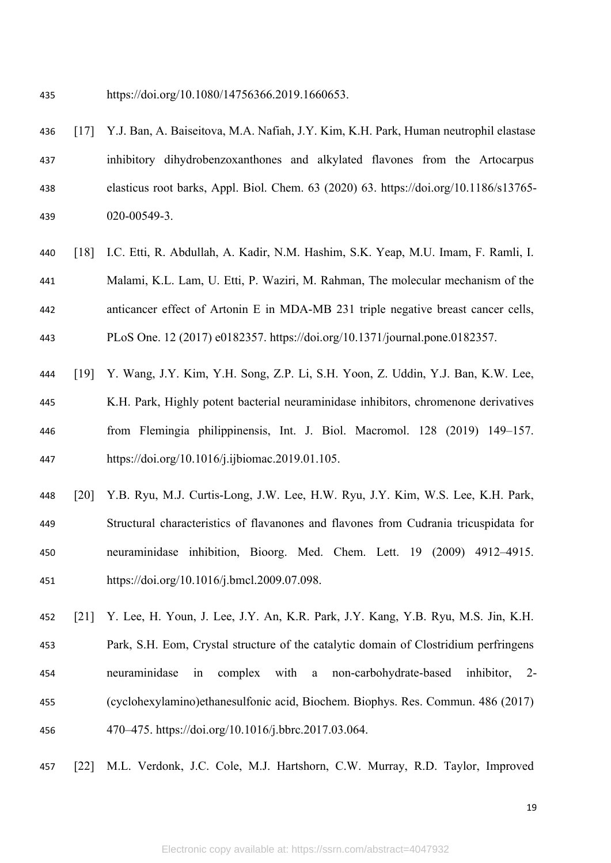https://doi.org/10.1080/14756366.2019.1660653.

- [17] Y.J. Ban, A. Baiseitova, M.A. Nafiah, J.Y. Kim, K.H. Park, Human neutrophil elastase inhibitory dihydrobenzoxanthones and alkylated flavones from the Artocarpus elasticus root barks, Appl. Biol. Chem. 63 (2020) 63. https://doi.org/10.1186/s13765- 020-00549-3.
- [18] I.C. Etti, R. Abdullah, A. Kadir, N.M. Hashim, S.K. Yeap, M.U. Imam, F. Ramli, I. Malami, K.L. Lam, U. Etti, P. Waziri, M. Rahman, The molecular mechanism of the anticancer effect of Artonin E in MDA-MB 231 triple negative breast cancer cells, PLoS One. 12 (2017) e0182357. https://doi.org/10.1371/journal.pone.0182357.
- [19] Y. Wang, J.Y. Kim, Y.H. Song, Z.P. Li, S.H. Yoon, Z. Uddin, Y.J. Ban, K.W. Lee, K.H. Park, Highly potent bacterial neuraminidase inhibitors, chromenone derivatives from Flemingia philippinensis, Int. J. Biol. Macromol. 128 (2019) 149–157. https://doi.org/10.1016/j.ijbiomac.2019.01.105.
- [20] Y.B. Ryu, M.J. Curtis-Long, J.W. Lee, H.W. Ryu, J.Y. Kim, W.S. Lee, K.H. Park, Structural characteristics of flavanones and flavones from Cudrania tricuspidata for neuraminidase inhibition, Bioorg. Med. Chem. Lett. 19 (2009) 4912–4915. https://doi.org/10.1016/j.bmcl.2009.07.098.
- [21] Y. Lee, H. Youn, J. Lee, J.Y. An, K.R. Park, J.Y. Kang, Y.B. Ryu, M.S. Jin, K.H. Park, S.H. Eom, Crystal structure of the catalytic domain of Clostridium perfringens neuraminidase in complex with a non-carbohydrate-based inhibitor, 2- (cyclohexylamino)ethanesulfonic acid, Biochem. Biophys. Res. Commun. 486 (2017) 470–475. https://doi.org/10.1016/j.bbrc.2017.03.064.
- [22] M.L. Verdonk, J.C. Cole, M.J. Hartshorn, C.W. Murray, R.D. Taylor, Improved